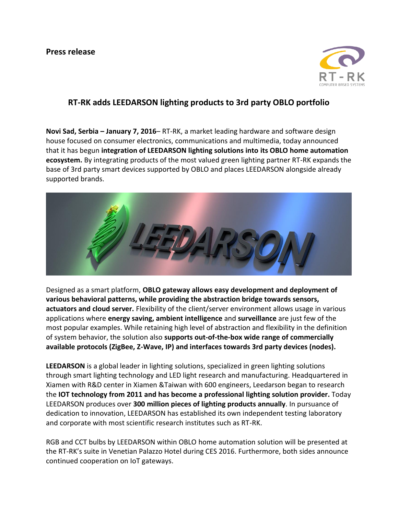

## **RT-RK adds LEEDARSON lighting products to 3rd party OBLO portfolio**

**Novi Sad, Serbia – January 7, 2016**– RT-RK, a market leading hardware and software design house focused on consumer electronics, communications and multimedia, today announced that it has begun **integration of LEEDARSON lighting solutions into its OBLO home automation ecosystem.** By integrating products of the most valued green lighting partner RT-RK expands the base of 3rd party smart devices supported by OBLO and places LEEDARSON alongside already supported brands.



Designed as a smart platform, **OBLO gateway allows easy development and deployment of various behavioral patterns, while providing the abstraction bridge towards sensors, actuators and cloud server.** Flexibility of the client/server environment allows usage in various applications where **energy saving, ambient intelligence** and **surveillance** are just few of the most popular examples. While retaining high level of abstraction and flexibility in the definition of system behavior, the solution also **supports out-of-the-box wide range of commercially available protocols (ZigBee, Z-Wave, IP) and interfaces towards 3rd party devices (nodes).**

**LEEDARSON** is a global leader in lighting solutions, specialized in green lighting solutions through smart lighting technology and LED light research and manufacturing. Headquartered in Xiamen with R&D center in Xiamen &Taiwan with 600 engineers, Leedarson began to research the **IOT technology from 2011 and has become a professional lighting solution provider.** Today LEEDARSON produces over **300 million pieces of lighting products annually**. In pursuance of dedication to innovation, LEEDARSON has established its own independent testing laboratory and corporate with most scientific research institutes such as RT-RK.

RGB and CCT bulbs by LEEDARSON within OBLO home automation solution will be presented at the RT-RK's suite in Venetian Palazzo Hotel during CES 2016. Furthermore, both sides announce continued cooperation on IoT gateways.